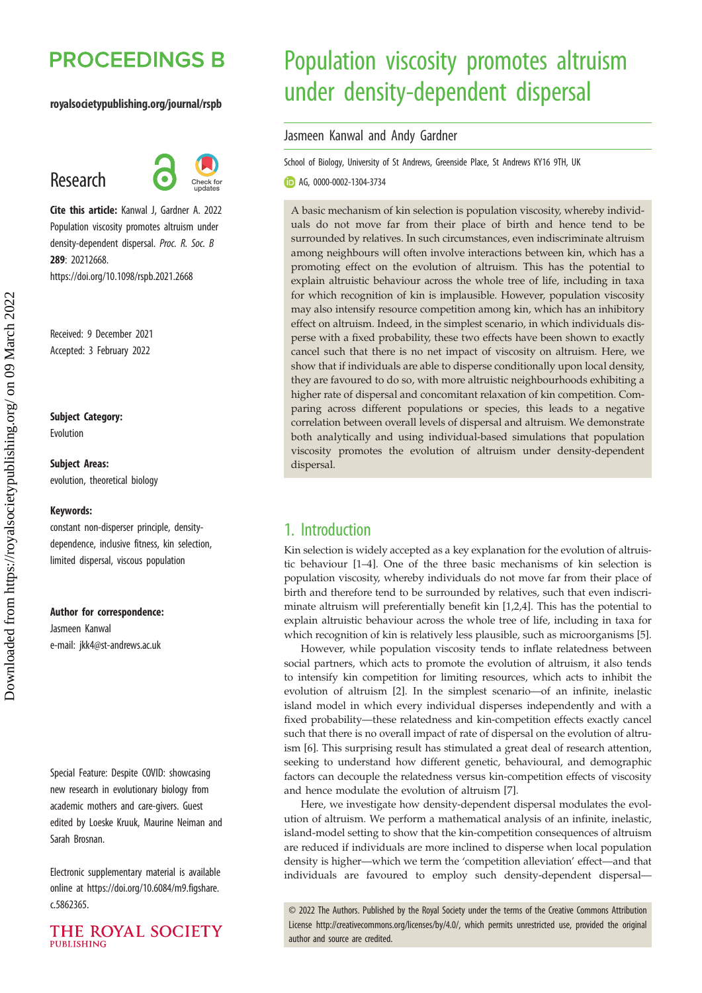## **PROCEEDINGS B**

### royalsocietypublishing.org/journal/rspb

### Research



Cite this article: Kanwal J, Gardner A. 2022 Population viscosity promotes altruism under density-dependent dispersal. Proc. R. Soc. B 289: 20212668. https://doi.org/10.1098/rspb.2021.2668

Received: 9 December 2021 Accepted: 3 February 2022

Subject Category:

Evolution

Subject Areas: evolution, theoretical biology

#### Keywords:

constant non-disperser principle, densitydependence, inclusive fitness, kin selection, limited dispersal, viscous population

#### Author for correspondence:

Jasmeen Kanwal e-mail: [jkk4@st-andrews.ac.uk](mailto:jkk4@st-andrews.ac.uk)

Special Feature: Despite COVID: showcasing new research in evolutionary biology from academic mothers and care-givers. Guest edited by Loeske Kruuk, Maurine Neiman and Sarah Brosnan.

Electronic supplementary material is available online at [https://doi.org/10.6084/m9.figshare.](https://doi.org/10.6084/m9.figshare.c.5862365) [c.5862365.](https://doi.org/10.6084/m9.figshare.c.5862365)



# Population viscosity promotes altruism under density-dependent dispersal

### Jasmeen Kanwal and Andy Gardner

School of Biology, University of St Andrews, Greenside Place, St Andrews KY16 9TH, UK

AG, [0000-0002-1304-3734](http://orcid.org/0000-0002-1304-3734)

A basic mechanism of kin selection is population viscosity, whereby individuals do not move far from their place of birth and hence tend to be surrounded by relatives. In such circumstances, even indiscriminate altruism among neighbours will often involve interactions between kin, which has a promoting effect on the evolution of altruism. This has the potential to explain altruistic behaviour across the whole tree of life, including in taxa for which recognition of kin is implausible. However, population viscosity may also intensify resource competition among kin, which has an inhibitory effect on altruism. Indeed, in the simplest scenario, in which individuals disperse with a fixed probability, these two effects have been shown to exactly cancel such that there is no net impact of viscosity on altruism. Here, we show that if individuals are able to disperse conditionally upon local density, they are favoured to do so, with more altruistic neighbourhoods exhibiting a higher rate of dispersal and concomitant relaxation of kin competition. Comparing across different populations or species, this leads to a negative correlation between overall levels of dispersal and altruism. We demonstrate both analytically and using individual-based simulations that population viscosity promotes the evolution of altruism under density-dependent dispersal.

### 1. Introduction

Kin selection is widely accepted as a key explanation for the evolution of altruistic behaviour [\[1](#page-6-0)–[4\]](#page-6-0). One of the three basic mechanisms of kin selection is population viscosity, whereby individuals do not move far from their place of birth and therefore tend to be surrounded by relatives, such that even indiscriminate altruism will preferentially benefit kin [\[1,2,4](#page-6-0)]. This has the potential to explain altruistic behaviour across the whole tree of life, including in taxa for which recognition of kin is relatively less plausible, such as microorganisms [\[5\]](#page-6-0).

However, while population viscosity tends to inflate relatedness between social partners, which acts to promote the evolution of altruism, it also tends to intensify kin competition for limiting resources, which acts to inhibit the evolution of altruism [[2](#page-6-0)]. In the simplest scenario—of an infinite, inelastic island model in which every individual disperses independently and with a fixed probability—these relatedness and kin-competition effects exactly cancel such that there is no overall impact of rate of dispersal on the evolution of altruism [[6](#page-6-0)]. This surprising result has stimulated a great deal of research attention, seeking to understand how different genetic, behavioural, and demographic factors can decouple the relatedness versus kin-competition effects of viscosity and hence modulate the evolution of altruism [\[7\]](#page-6-0).

Here, we investigate how density-dependent dispersal modulates the evolution of altruism. We perform a mathematical analysis of an infinite, inelastic, island-model setting to show that the kin-competition consequences of altruism are reduced if individuals are more inclined to disperse when local population density is higher—which we term the 'competition alleviation' effect—and that individuals are favoured to employ such density-dependent dispersal—

© 2022 The Authors. Published by the Royal Society under the terms of the Creative Commons Attribution License<http://creativecommons.org/licenses/by/4.0/>, which permits unrestricted use, provided the original author and source are credited.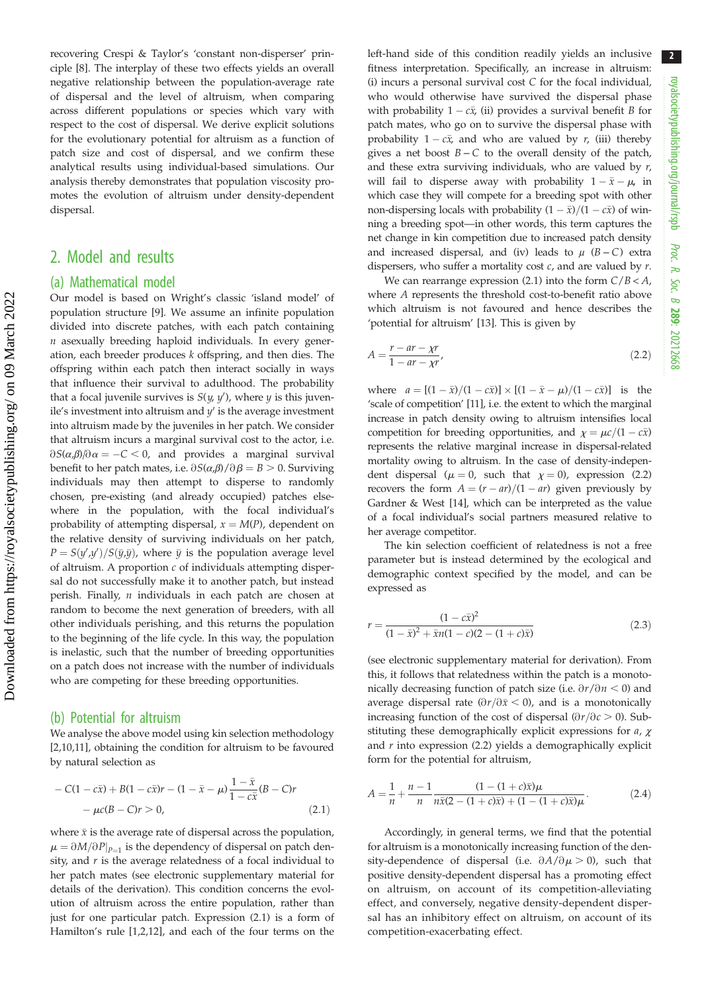recovering Crespi & Taylor's 'constant non-disperser' principle [\[8\]](#page-6-0). The interplay of these two effects yields an overall negative relationship between the population-average rate of dispersal and the level of altruism, when comparing across different populations or species which vary with respect to the cost of dispersal. We derive explicit solutions for the evolutionary potential for altruism as a function of patch size and cost of dispersal, and we confirm these analytical results using individual-based simulations. Our analysis thereby demonstrates that population viscosity promotes the evolution of altruism under density-dependent dispersal.

### 2. Model and results

#### (a) Mathematical model

Our model is based on Wright's classic 'island model' of population structure [\[9\]](#page-6-0). We assume an infinite population divided into discrete patches, with each patch containing  $n$  asexually breeding haploid individuals. In every generation, each breeder produces  $k$  offspring, and then dies. The offspring within each patch then interact socially in ways that influence their survival to adulthood. The probability that a focal juvenile survives is  $S(y, y')$ , where y is this juvenile's investment into altruism and  $y'$  is the average investment into altruism made by the juveniles in her patch. We consider that altruism incurs a marginal survival cost to the actor, i.e.  $\partial S(\alpha,\beta)/\partial \alpha = -C < 0$ , and provides a marginal survival benefit to her patch mates, i.e.  $\partial S(\alpha,\beta)/\partial \beta = B > 0$ . Surviving individuals may then attempt to disperse to randomly chosen, pre-existing (and already occupied) patches elsewhere in the population, with the focal individual's probability of attempting dispersal,  $x = M(P)$ , dependent on the relative density of surviving individuals on her patch,  $P = S(y', y') / S(\bar{y}, \bar{y})$ , where  $\bar{y}$  is the population average level of altruism. A proportion  $c$  of individuals attempting dispersal do not successfully make it to another patch, but instead perish. Finally,  $n$  individuals in each patch are chosen at random to become the next generation of breeders, with all other individuals perishing, and this returns the population to the beginning of the life cycle. In this way, the population is inelastic, such that the number of breeding opportunities on a patch does not increase with the number of individuals who are competing for these breeding opportunities.

#### (b) Potential for altruism

We analyse the above model using kin selection methodology [\[2,10,11\]](#page-6-0), obtaining the condition for altruism to be favoured by natural selection as

$$
-C(1 - c\bar{x}) + B(1 - c\bar{x})r - (1 - \bar{x} - \mu)\frac{1 - \bar{x}}{1 - c\bar{x}}(B - C)r - \mu c(B - C)r > 0,
$$
\n(2.1)

where  $\bar{x}$  is the average rate of dispersal across the population,  $\mu = \partial M/\partial P|_{P=1}$  is the dependency of dispersal on patch density, and  $r$  is the average relatedness of a focal individual to her patch mates (see electronic supplementary material for details of the derivation). This condition concerns the evolution of altruism across the entire population, rather than just for one particular patch. Expression (2.1) is a form of Hamilton's rule [\[1,2,12\]](#page-6-0), and each of the four terms on the left-hand side of this condition readily yields an inclusive fitness interpretation. Specifically, an increase in altruism: (i) incurs a personal survival cost C for the focal individual, who would otherwise have survived the dispersal phase with probability  $1 - c\bar{x}$ , (ii) provides a survival benefit *B* for patch mates, who go on to survive the dispersal phase with probability  $1 - c\bar{x}$ , and who are valued by r, (iii) thereby gives a net boost  $B - C$  to the overall density of the patch, and these extra surviving individuals, who are valued by r, will fail to disperse away with probability  $1 - \bar{x} - \mu$ , in which case they will compete for a breeding spot with other non-dispersing locals with probability  $(1 - \bar{x})/(1 - c\bar{x})$  of winning a breeding spot—in other words, this term captures the net change in kin competition due to increased patch density and increased dispersal, and (iv) leads to  $\mu$  (B – C) extra dispersers, who suffer a mortality cost  $c$ , and are valued by  $r$ .

We can rearrange expression (2.1) into the form  $C/B < A$ , where A represents the threshold cost-to-benefit ratio above which altruism is not favoured and hence describes the 'potential for altruism' [\[13](#page-6-0)]. This is given by

$$
A = \frac{r - ar - \chi r}{1 - ar - \chi r'},\tag{2.2}
$$

where  $a = [(1 - \bar{x})/(1 - c\bar{x})] \times [(1 - \bar{x} - \mu)/(1 - c\bar{x})]$  is the 'scale of competition' [[11](#page-6-0)], i.e. the extent to which the marginal increase in patch density owing to altruism intensifies local competition for breeding opportunities, and  $\chi = \mu c/(1 - c\bar{x})$ represents the relative marginal increase in dispersal-related mortality owing to altruism. In the case of density-independent dispersal ( $\mu = 0$ , such that  $\chi = 0$ ), expression (2.2) recovers the form  $A = (r - ar)/(1 - ar)$  given previously by Gardner & West [\[14\]](#page-6-0), which can be interpreted as the value of a focal individual's social partners measured relative to her average competitor.

The kin selection coefficient of relatedness is not a free parameter but is instead determined by the ecological and demographic context specified by the model, and can be expressed as

$$
r = \frac{(1 - c\bar{x})^2}{(1 - \bar{x})^2 + \bar{x}n(1 - c)(2 - (1 + c)\bar{x})}
$$
(2.3)

(see electronic supplementary material for derivation). From this, it follows that relatedness within the patch is a monotonically decreasing function of patch size (i.e.  $\partial r / \partial n$  < 0) and average dispersal rate  $(\partial r/\partial \bar{x} < 0)$ , and is a monotonically increasing function of the cost of dispersal  $(\partial r/\partial c > 0)$ . Substituting these demographically explicit expressions for  $a$ ,  $\chi$ and  $r$  into expression (2.2) yields a demographically explicit form for the potential for altruism,

$$
A = \frac{1}{n} + \frac{n-1}{n} \frac{(1 - (1 + c)\bar{x})\mu}{n\bar{x}(2 - (1 + c)\bar{x}) + (1 - (1 + c)\bar{x})\mu}.
$$
 (2.4)

Accordingly, in general terms, we find that the potential for altruism is a monotonically increasing function of the density-dependence of dispersal (i.e.  $\partial A/\partial \mu > 0$ ), such that positive density-dependent dispersal has a promoting effect on altruism, on account of its competition-alleviating effect, and conversely, negative density-dependent dispersal has an inhibitory effect on altruism, on account of its competition-exacerbating effect.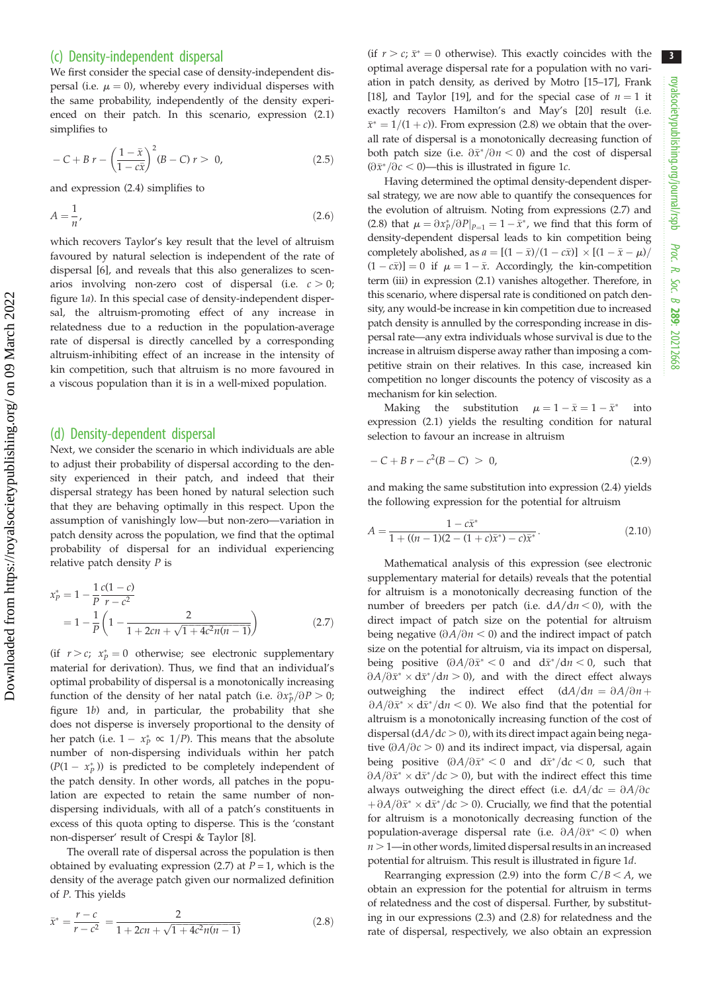3

### (c) Density-independent dispersal

We first consider the special case of density-independent dispersal (i.e.  $\mu = 0$ ), whereby every individual disperses with the same probability, independently of the density experienced on their patch. In this scenario, expression (2.1) simplifies to

$$
-C + B r - \left(\frac{1 - \bar{x}}{1 - c\bar{x}}\right)^2 (B - C) r > 0,
$$
\n(2.5)

and expression (2.4) simplifies to

$$
A = \frac{1}{n},\tag{2.6}
$$

which recovers Taylor's key result that the level of altruism favoured by natural selection is independent of the rate of dispersal [[6](#page-6-0)], and reveals that this also generalizes to scenarios involving non-zero cost of dispersal (i.e.  $c > 0$ ; [figure 1](#page-3-0)a). In this special case of density-independent dispersal, the altruism-promoting effect of any increase in relatedness due to a reduction in the population-average rate of dispersal is directly cancelled by a corresponding altruism-inhibiting effect of an increase in the intensity of kin competition, such that altruism is no more favoured in a viscous population than it is in a well-mixed population.

### (d) Density-dependent dispersal

Next, we consider the scenario in which individuals are able to adjust their probability of dispersal according to the density experienced in their patch, and indeed that their dispersal strategy has been honed by natural selection such that they are behaving optimally in this respect. Upon the assumption of vanishingly low—but non-zero—variation in patch density across the population, we find that the optimal probability of dispersal for an individual experiencing relative patch density  $P$  is

$$
x_p^* = 1 - \frac{1}{p} \frac{c(1-c)}{r - c^2}
$$
  
= 
$$
1 - \frac{1}{p} \left( 1 - \frac{2}{1 + 2cn + \sqrt{1 + 4c^2 n(n-1)}} \right)
$$
(2.7)

(if  $r > c$ ;  $x_P^* = 0$  otherwise; see electronic supplementary material for derivation). Thus, we find that an individual's optimal probability of dispersal is a monotonically increasing function of the density of her natal patch (i.e.  $\partial x_P^*/\partial P > 0$ ; [figure 1](#page-3-0)b) and, in particular, the probability that she does not disperse is inversely proportional to the density of her patch (i.e.  $1 - x_p^* \propto 1/P$ ). This means that the absolute number of non-dispersing individuals within her patch  $(P(1 - x_P^*))$  is predicted to be completely independent of the patch density. In other words, all patches in the population are expected to retain the same number of nondispersing individuals, with all of a patch's constituents in excess of this quota opting to disperse. This is the 'constant non-disperser' result of Crespi & Taylor [[8](#page-6-0)].

The overall rate of dispersal across the population is then obtained by evaluating expression (2.7) at  $P = 1$ , which is the density of the average patch given our normalized definition of P. This yields

$$
\bar{x}^* = \frac{r - c}{r - c^2} = \frac{2}{1 + 2cn + \sqrt{1 + 4c^2n(n - 1)}}\tag{2.8}
$$

(if  $r > c$ ;  $\bar{x}^* = 0$  otherwise). This exactly coincides with the optimal average dispersal rate for a population with no variation in patch density, as derived by Motro [\[15](#page-6-0)–[17\]](#page-6-0), Frank [[18\]](#page-6-0), and Taylor [[19\]](#page-6-0), and for the special case of  $n = 1$  it exactly recovers Hamilton's and May's [[20\]](#page-6-0) result (i.e.  $\bar{x}^* = 1/(1 + c)$ ). From expression (2.8) we obtain that the overall rate of dispersal is a monotonically decreasing function of both patch size (i.e.  $\frac{\partial \bar{x}^*}{\partial n} < 0$ ) and the cost of dispersal  $(\partial \bar{x}^*/\partial c < 0)$ —this is illustrated in [figure 1](#page-3-0)c.

Having determined the optimal density-dependent dispersal strategy, we are now able to quantify the consequences for the evolution of altruism. Noting from expressions (2.7) and (2.8) that  $\mu = \partial x_P^* / \partial P|_{P=1} = 1 - \bar{x}^*$ , we find that this form of density-dependent dispersal leads to kin competition being completely abolished, as  $a = [(1 - \bar{x})/(1 - c\bar{x})] \times [(1 - \bar{x} - \mu)]$  $(1 - c\bar{x})$ ] = 0 if  $\mu = 1 - \bar{x}$ . Accordingly, the kin-competition term (iii) in expression (2.1) vanishes altogether. Therefore, in this scenario, where dispersal rate is conditioned on patch density, any would-be increase in kin competition due to increased patch density is annulled by the corresponding increase in dispersal rate—any extra individuals whose survival is due to the increase in altruism disperse away rather than imposing a competitive strain on their relatives. In this case, increased kin competition no longer discounts the potency of viscosity as a mechanism for kin selection.

Making the substitution  $\mu = 1 - \bar{x} = 1 - \bar{x}^*$  into expression (2.1) yields the resulting condition for natural selection to favour an increase in altruism

$$
-C + B r - c2(B - C) > 0,
$$
\n(2.9)

and making the same substitution into expression (2.4) yields the following expression for the potential for altruism

$$
A = \frac{1 - c\bar{x}^*}{1 + ((n - 1)(2 - (1 + c)\bar{x}^*) - c)\bar{x}^*}.
$$
\n(2.10)

Mathematical analysis of this expression (see electronic supplementary material for details) reveals that the potential for altruism is a monotonically decreasing function of the number of breeders per patch (i.e.  $dA/dn < 0$ ), with the direct impact of patch size on the potential for altruism being negative  $(\partial A/\partial n < 0)$  and the indirect impact of patch size on the potential for altruism, via its impact on dispersal, being positive  $(\partial A/\partial \bar{x}^* < 0$  and  $d\bar{x}^*/dn < 0$ , such that  $\partial A/\partial \bar{x}^* \times d\bar{x}^* / d n > 0$ , and with the direct effect always outweighing the indirect effect  $(dA/dn = \partial A/\partial n +$  $\partial A/\partial \bar{x}^* \times d\bar{x}^* / d\eta < 0$ ). We also find that the potential for altruism is a monotonically increasing function of the cost of dispersal  $\left(\frac{dA}{dc} > 0\right)$ , with its direct impact again being negative  $(\partial A/\partial c > 0)$  and its indirect impact, via dispersal, again being positive  $(\partial A/\partial \bar{x}^* < 0$  and  $d\bar{x}^*/dc < 0$ , such that  $\partial A/\partial \bar{x}^* \times d\bar{x}^*/d c > 0$ , but with the indirect effect this time always outweighing the direct effect (i.e.  $dA/dc = \partial A/\partial c$ + $\partial A/\partial \bar{x}^* \times d\bar{x}^* /dc > 0$ ). Crucially, we find that the potential for altruism is a monotonically decreasing function of the population-average dispersal rate (i.e.  $\partial A/\partial \bar{x}^* < 0$ ) when  $n > 1$ —in other words, limited dispersal results in an increased potential for altruism. This result is illustrated in [figure 1](#page-3-0)d.

Rearranging expression (2.9) into the form  $C/B < A$ , we obtain an expression for the potential for altruism in terms of relatedness and the cost of dispersal. Further, by substituting in our expressions (2.3) and (2.8) for relatedness and the rate of dispersal, respectively, we also obtain an expression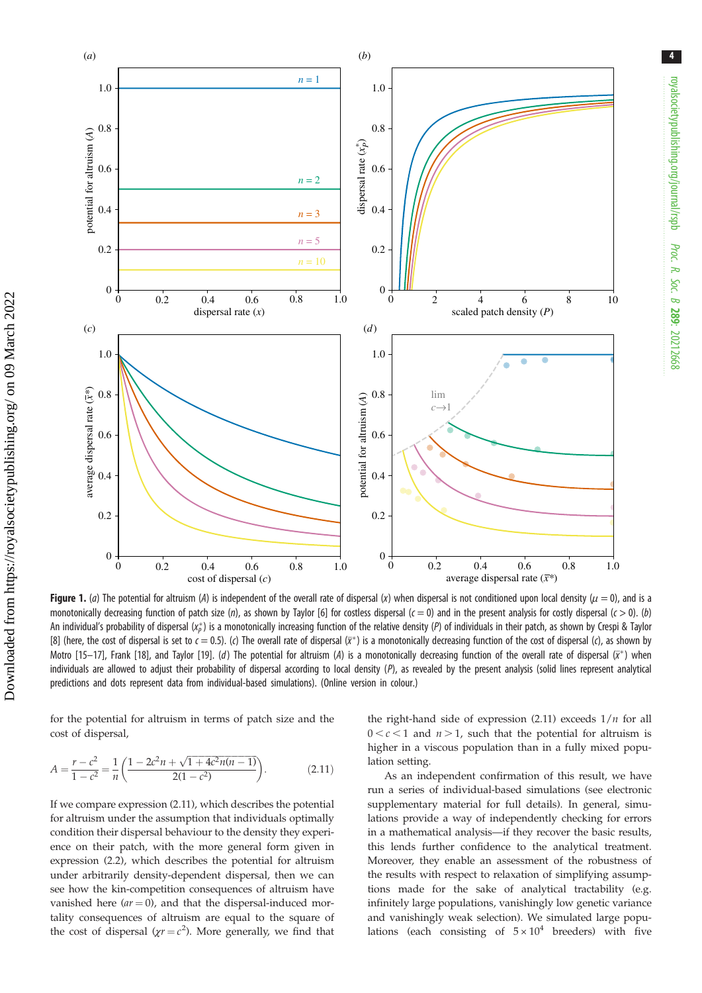<span id="page-3-0"></span>

Figure 1. (a) The potential for altruism (A) is independent of the overall rate of dispersal (x) when dispersal is not conditioned upon local density ( $\mu = 0$ ), and is a monotonically decreasing function of patch size  $(n)$ , as shown by Taylor [[6\]](#page-6-0) for costless dispersal  $(c = 0)$  and in the present analysis for costly dispersal  $(c > 0)$ . (b) An individual's probability of dispersal (x $_{\rho}^*$ ) is a monotonically increasing function of the relative density (P) of individuals in their patch, as shown by Crespi & Taylor [\[8\]](#page-6-0) (here, the cost of dispersal is set to  $c = 0.5$ ). (c) The overall rate of dispersal  $(\bar{x}^*)$  is a monotonically decreasing function of the cost of dispersal (c), as shown by Motro [\[15](#page-6-0)–[17](#page-6-0)], Frank [\[18\]](#page-6-0), and Taylor [\[19\]](#page-6-0). (d) The potential for altruism (A) is a monotonically decreasing function of the overall rate of dispersal ( $\bar{x}^*$ ) when individuals are allowed to adjust their probability of dispersal according to local density (P), as revealed by the present analysis (solid lines represent analytical predictions and dots represent data from individual-based simulations). (Online version in colour.)

for the potential for altruism in terms of patch size and the cost of dispersal,

$$
A = \frac{r - c^2}{1 - c^2} = \frac{1}{n} \left( \frac{1 - 2c^2 n + \sqrt{1 + 4c^2 n(n-1)}}{2(1 - c^2)} \right).
$$
 (2.11)

If we compare expression (2.11), which describes the potential for altruism under the assumption that individuals optimally condition their dispersal behaviour to the density they experience on their patch, with the more general form given in expression (2.2), which describes the potential for altruism under arbitrarily density-dependent dispersal, then we can see how the kin-competition consequences of altruism have vanished here  $(ar = 0)$ , and that the dispersal-induced mortality consequences of altruism are equal to the square of the cost of dispersal ( $\chi r = c^2$ ). More generally, we find that

the right-hand side of expression  $(2.11)$  exceeds  $1/n$  for all  $0 < c < 1$  and  $n > 1$ , such that the potential for altruism is higher in a viscous population than in a fully mixed population setting.

As an independent confirmation of this result, we have run a series of individual-based simulations (see electronic supplementary material for full details). In general, simulations provide a way of independently checking for errors in a mathematical analysis—if they recover the basic results, this lends further confidence to the analytical treatment. Moreover, they enable an assessment of the robustness of the results with respect to relaxation of simplifying assumptions made for the sake of analytical tractability (e.g. infinitely large populations, vanishingly low genetic variance and vanishingly weak selection). We simulated large populations (each consisting of  $5 \times 10^4$  breeders) with five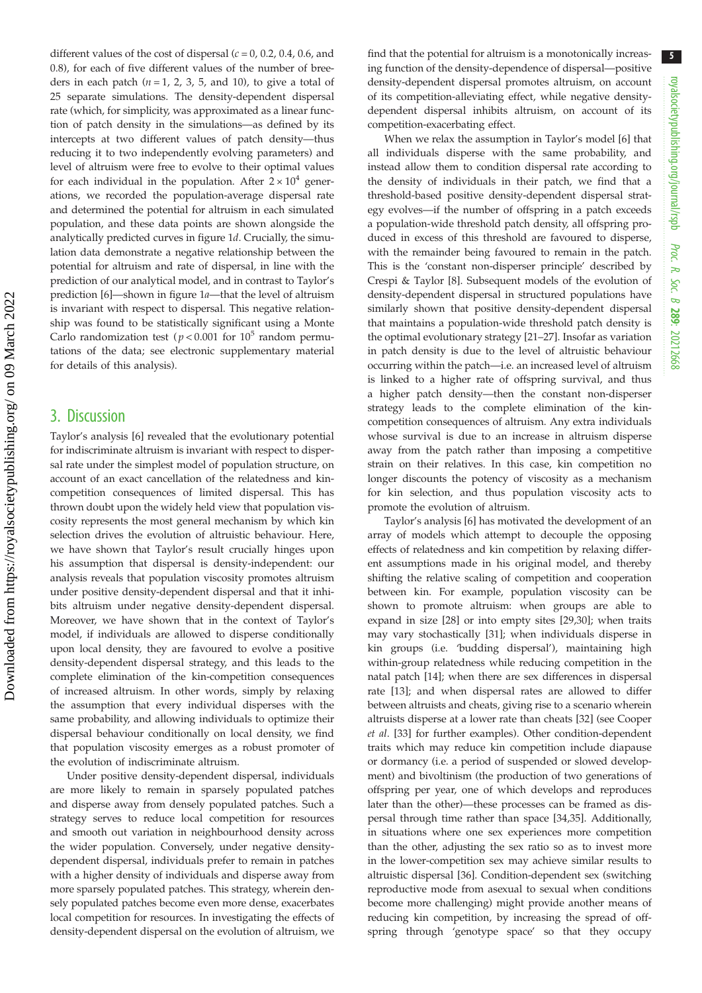different values of the cost of dispersal  $(c = 0, 0.2, 0.4, 0.6,$  and 0.8), for each of five different values of the number of breeders in each patch ( $n = 1, 2, 3, 5$ , and 10), to give a total of 25 separate simulations. The density-dependent dispersal rate (which, for simplicity, was approximated as a linear function of patch density in the simulations—as defined by its intercepts at two different values of patch density—thus reducing it to two independently evolving parameters) and level of altruism were free to evolve to their optimal values for each individual in the population. After  $2 \times 10^4$  generations, we recorded the population-average dispersal rate and determined the potential for altruism in each simulated population, and these data points are shown alongside the analytically predicted curves in [figure 1](#page-3-0)d. Crucially, the simulation data demonstrate a negative relationship between the potential for altruism and rate of dispersal, in line with the prediction of our analytical model, and in contrast to Taylor's prediction [\[6\]](#page-6-0)—shown in [figure 1](#page-3-0)a—that the level of altruism is invariant with respect to dispersal. This negative relationship was found to be statistically significant using a Monte Carlo randomization test ( $p < 0.001$  for  $10^5$  random permutations of the data; see electronic supplementary material for details of this analysis).

### 3. Discussion

Taylor's analysis [[6](#page-6-0)] revealed that the evolutionary potential for indiscriminate altruism is invariant with respect to dispersal rate under the simplest model of population structure, on account of an exact cancellation of the relatedness and kincompetition consequences of limited dispersal. This has thrown doubt upon the widely held view that population viscosity represents the most general mechanism by which kin selection drives the evolution of altruistic behaviour. Here, we have shown that Taylor's result crucially hinges upon his assumption that dispersal is density-independent: our analysis reveals that population viscosity promotes altruism under positive density-dependent dispersal and that it inhibits altruism under negative density-dependent dispersal. Moreover, we have shown that in the context of Taylor's model, if individuals are allowed to disperse conditionally upon local density, they are favoured to evolve a positive density-dependent dispersal strategy, and this leads to the complete elimination of the kin-competition consequences of increased altruism. In other words, simply by relaxing the assumption that every individual disperses with the same probability, and allowing individuals to optimize their dispersal behaviour conditionally on local density, we find that population viscosity emerges as a robust promoter of the evolution of indiscriminate altruism.

Under positive density-dependent dispersal, individuals are more likely to remain in sparsely populated patches and disperse away from densely populated patches. Such a strategy serves to reduce local competition for resources and smooth out variation in neighbourhood density across the wider population. Conversely, under negative densitydependent dispersal, individuals prefer to remain in patches with a higher density of individuals and disperse away from more sparsely populated patches. This strategy, wherein densely populated patches become even more dense, exacerbates local competition for resources. In investigating the effects of density-dependent dispersal on the evolution of altruism, we find that the potential for altruism is a monotonically increasing function of the density-dependence of dispersal—positive density-dependent dispersal promotes altruism, on account of its competition-alleviating effect, while negative densitydependent dispersal inhibits altruism, on account of its competition-exacerbating effect.

When we relax the assumption in Taylor's model [\[6\]](#page-6-0) that all individuals disperse with the same probability, and instead allow them to condition dispersal rate according to the density of individuals in their patch, we find that a threshold-based positive density-dependent dispersal strategy evolves—if the number of offspring in a patch exceeds a population-wide threshold patch density, all offspring produced in excess of this threshold are favoured to disperse, with the remainder being favoured to remain in the patch. This is the 'constant non-disperser principle' described by Crespi & Taylor [[8](#page-6-0)]. Subsequent models of the evolution of density-dependent dispersal in structured populations have similarly shown that positive density-dependent dispersal that maintains a population-wide threshold patch density is the optimal evolutionary strategy [\[21](#page-6-0)–[27\]](#page-6-0). Insofar as variation in patch density is due to the level of altruistic behaviour occurring within the patch—i.e. an increased level of altruism is linked to a higher rate of offspring survival, and thus a higher patch density—then the constant non-disperser strategy leads to the complete elimination of the kincompetition consequences of altruism. Any extra individuals whose survival is due to an increase in altruism disperse away from the patch rather than imposing a competitive strain on their relatives. In this case, kin competition no longer discounts the potency of viscosity as a mechanism for kin selection, and thus population viscosity acts to promote the evolution of altruism.

Taylor's analysis [[6](#page-6-0)] has motivated the development of an array of models which attempt to decouple the opposing effects of relatedness and kin competition by relaxing different assumptions made in his original model, and thereby shifting the relative scaling of competition and cooperation between kin. For example, population viscosity can be shown to promote altruism: when groups are able to expand in size [[28\]](#page-6-0) or into empty sites [[29,30](#page-6-0)]; when traits may vary stochastically [[31\]](#page-6-0); when individuals disperse in kin groups (i.e. 'budding dispersal'), maintaining high within-group relatedness while reducing competition in the natal patch [[14\]](#page-6-0); when there are sex differences in dispersal rate [\[13\]](#page-6-0); and when dispersal rates are allowed to differ between altruists and cheats, giving rise to a scenario wherein altruists disperse at a lower rate than cheats [\[32](#page-6-0)] (see Cooper et al. [\[33](#page-6-0)] for further examples). Other condition-dependent traits which may reduce kin competition include diapause or dormancy (i.e. a period of suspended or slowed development) and bivoltinism (the production of two generations of offspring per year, one of which develops and reproduces later than the other)—these processes can be framed as dispersal through time rather than space [\[34,35](#page-6-0)]. Additionally, in situations where one sex experiences more competition than the other, adjusting the sex ratio so as to invest more in the lower-competition sex may achieve similar results to altruistic dispersal [[36\]](#page-6-0). Condition-dependent sex (switching reproductive mode from asexual to sexual when conditions become more challenging) might provide another means of reducing kin competition, by increasing the spread of offspring through 'genotype space' so that they occupy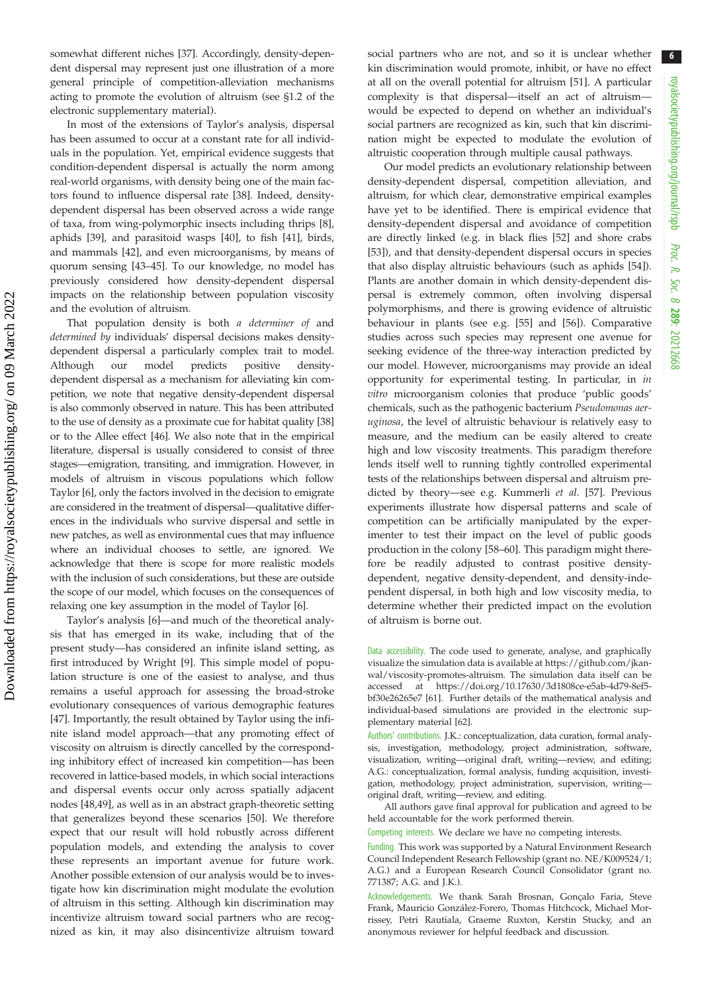6

somewhat different niches [[37\]](#page-6-0). Accordingly, density-dependent dispersal may represent just one illustration of a more general principle of competition-alleviation mechanisms acting to promote the evolution of altruism (see §1.2 of the electronic supplementary material).

In most of the extensions of Taylor's analysis, dispersal has been assumed to occur at a constant rate for all individuals in the population. Yet, empirical evidence suggests that condition-dependent dispersal is actually the norm among real-world organisms, with density being one of the main factors found to influence dispersal rate [\[38](#page-6-0)]. Indeed, densitydependent dispersal has been observed across a wide range of taxa, from wing-polymorphic insects including thrips [[8](#page-6-0)], aphids [\[39](#page-6-0)], and parasitoid wasps [\[40](#page-6-0)], to fish [[41\]](#page-6-0), birds, and mammals [\[42](#page-6-0)], and even microorganisms, by means of quorum sensing [[43](#page-6-0)–[45](#page-6-0)]. To our knowledge, no model has previously considered how density-dependent dispersal impacts on the relationship between population viscosity and the evolution of altruism.

That population density is both a determiner of and determined by individuals' dispersal decisions makes densitydependent dispersal a particularly complex trait to model. Although our model predicts positive densitydependent dispersal as a mechanism for alleviating kin competition, we note that negative density-dependent dispersal is also commonly observed in nature. This has been attributed to the use of density as a proximate cue for habitat quality [[38\]](#page-6-0) or to the Allee effect [[46\]](#page-6-0). We also note that in the empirical literature, dispersal is usually considered to consist of three stages—emigration, transiting, and immigration. However, in models of altruism in viscous populations which follow Taylor [[6\]](#page-6-0), only the factors involved in the decision to emigrate are considered in the treatment of dispersal—qualitative differences in the individuals who survive dispersal and settle in new patches, as well as environmental cues that may influence where an individual chooses to settle, are ignored. We acknowledge that there is scope for more realistic models with the inclusion of such considerations, but these are outside the scope of our model, which focuses on the consequences of relaxing one key assumption in the model of Taylor [\[6\]](#page-6-0).

Taylor's analysis [[6](#page-6-0)]—and much of the theoretical analysis that has emerged in its wake, including that of the present study—has considered an infinite island setting, as first introduced by Wright [\[9\]](#page-6-0). This simple model of population structure is one of the easiest to analyse, and thus remains a useful approach for assessing the broad-stroke evolutionary consequences of various demographic features [\[47](#page-6-0)]. Importantly, the result obtained by Taylor using the infinite island model approach—that any promoting effect of viscosity on altruism is directly cancelled by the corresponding inhibitory effect of increased kin competition—has been recovered in lattice-based models, in which social interactions and dispersal events occur only across spatially adjacent nodes [\[48](#page-6-0),[49\]](#page-6-0), as well as in an abstract graph-theoretic setting that generalizes beyond these scenarios [\[50](#page-6-0)]. We therefore expect that our result will hold robustly across different population models, and extending the analysis to cover these represents an important avenue for future work. Another possible extension of our analysis would be to investigate how kin discrimination might modulate the evolution of altruism in this setting. Although kin discrimination may incentivize altruism toward social partners who are recognized as kin, it may also disincentivize altruism toward

social partners who are not, and so it is unclear whether kin discrimination would promote, inhibit, or have no effect at all on the overall potential for altruism [\[51](#page-6-0)]. A particular complexity is that dispersal—itself an act of altruism would be expected to depend on whether an individual's social partners are recognized as kin, such that kin discrimination might be expected to modulate the evolution of altruistic cooperation through multiple causal pathways.

Our model predicts an evolutionary relationship between density-dependent dispersal, competition alleviation, and altruism, for which clear, demonstrative empirical examples have yet to be identified. There is empirical evidence that density-dependent dispersal and avoidance of competition are directly linked (e.g. in black flies [\[52](#page-6-0)] and shore crabs [[53\]](#page-7-0)), and that density-dependent dispersal occurs in species that also display altruistic behaviours (such as aphids [[54\]](#page-7-0)). Plants are another domain in which density-dependent dispersal is extremely common, often involving dispersal polymorphisms, and there is growing evidence of altruistic behaviour in plants (see e.g. [\[55](#page-7-0)] and [[56\]](#page-7-0)). Comparative studies across such species may represent one avenue for seeking evidence of the three-way interaction predicted by our model. However, microorganisms may provide an ideal opportunity for experimental testing. In particular, in in vitro microorganism colonies that produce 'public goods' chemicals, such as the pathogenic bacterium Pseudomonas aeruginosa, the level of altruistic behaviour is relatively easy to measure, and the medium can be easily altered to create high and low viscosity treatments. This paradigm therefore lends itself well to running tightly controlled experimental tests of the relationships between dispersal and altruism predicted by theory—see e.g. Kummerli et al. [\[57](#page-7-0)]. Previous experiments illustrate how dispersal patterns and scale of competition can be artificially manipulated by the experimenter to test their impact on the level of public goods production in the colony [\[58](#page-7-0)–[60\]](#page-7-0). This paradigm might therefore be readily adjusted to contrast positive densitydependent, negative density-dependent, and density-independent dispersal, in both high and low viscosity media, to determine whether their predicted impact on the evolution of altruism is borne out.

Data accessibility. The code used to generate, analyse, and graphically visualize the simulation data is available at [https://github.com/jkan](https://github.com/jkanwal/viscosity-promotes-altruism)[wal/viscosity-promotes-altruism.](https://github.com/jkanwal/viscosity-promotes-altruism) The simulation data itself can be accessed at [https://doi.org/10.17630/3d1808ce-e5ab-4d79-8ef5](https://doi.org/10.17630/3d1808ce-e5ab-4d79-8ef5-bf30e26265e7) [bf30e26265e7](https://doi.org/10.17630/3d1808ce-e5ab-4d79-8ef5-bf30e26265e7) [\[61](#page-7-0)]. Further details of the mathematical analysis and individual-based simulations are provided in the electronic supplementary material [\[62](#page-7-0)].

Authors' contributions. J.K.: conceptualization, data curation, formal analysis, investigation, methodology, project administration, software, visualization, writing—original draft, writing—review, and editing; A.G.: conceptualization, formal analysis, funding acquisition, investigation, methodology, project administration, supervision, writing original draft, writing—review, and editing.

All authors gave final approval for publication and agreed to be held accountable for the work performed therein.

Competing interests. We declare we have no competing interests.

Funding. This work was supported by a Natural Environment Research Council Independent Research Fellowship (grant no. NE/K009524/1; A.G.) and a European Research Council Consolidator (grant no. 771387; A.G. and J.K.).

Acknowledgements. We thank Sarah Brosnan, Gonçalo Faria, Steve Frank, Mauricio González-Forero, Thomas Hitchcock, Michael Morrissey, Petri Rautiala, Graeme Ruxton, Kerstin Stucky, and an anonymous reviewer for helpful feedback and discussion.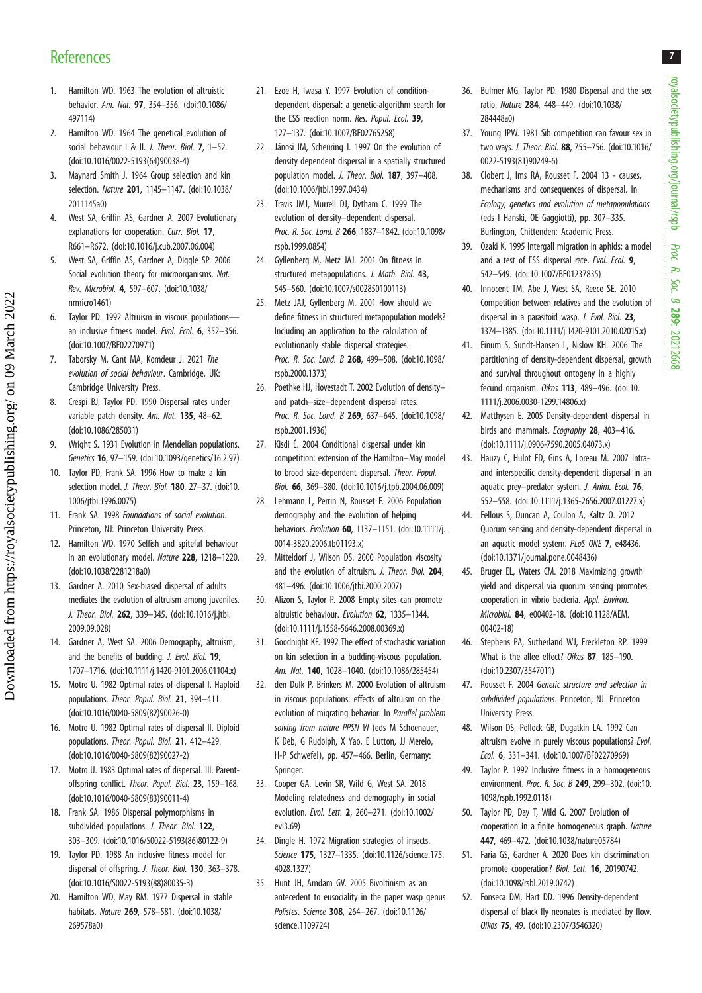### <span id="page-6-0"></span>**References**

- 1. Hamilton WD. 1963 The evolution of altruistic behavior. Am. Nat. 97, 354–356. ([doi:10.1086/](http://dx.doi.org/10.1086/497114) [497114](http://dx.doi.org/10.1086/497114))
- 2. Hamilton WD. 1964 The genetical evolution of social behaviour I & II. J. Theor. Biol. 7, 1-52. [\(doi:10.1016/0022-5193\(64\)90038-4](http://dx.doi.org/10.1016/0022-5193(64)90038-4))
- 3. Maynard Smith J. 1964 Group selection and kin selection. Nature 201, 1145–1147. [\(doi:10.1038/](http://dx.doi.org/10.1038/2011145a0) [2011145a0](http://dx.doi.org/10.1038/2011145a0))
- 4. West SA, Griffin AS, Gardner A. 2007 Evolutionary explanations for cooperation. Curr. Biol. 17, R661–R672. [\(doi:10.1016/j.cub.2007.06.004](http://dx.doi.org/10.1016/j.cub.2007.06.004))
- 5. West SA, Griffin AS, Gardner A, Diggle SP. 2006 Social evolution theory for microorganisms. Nat. Rev. Microbiol. 4, 597–607. ([doi:10.1038/](http://dx.doi.org/10.1038/nrmicro1461) [nrmicro1461](http://dx.doi.org/10.1038/nrmicro1461))
- 6. Taylor PD. 1992 Altruism in viscous populations an inclusive fitness model. Evol. Ecol. 6, 352-356. [\(doi:10.1007/BF02270971\)](http://dx.doi.org/10.1007/BF02270971)
- 7. Taborsky M, Cant MA, Komdeur J. 2021 The evolution of social behaviour. Cambridge, UK: Cambridge University Press.
- 8. Crespi BJ, Taylor PD. 1990 Dispersal rates under variable patch density. Am. Nat. 135, 48-62. [\(doi:10.1086/285031](http://dx.doi.org/10.1086/285031))
- 9. Wright S. 1931 Evolution in Mendelian populations. Genetics 16, 97–159. [\(doi:10.1093/genetics/16.2.97\)](http://dx.doi.org/10.1093/genetics/16.2.97)
- 10. Taylor PD, Frank SA. 1996 How to make a kin selection model. *J. Theor. Biol.* **180**, 27-37. ([doi:10.](http://dx.doi.org/10.1006/jtbi.1996.0075) [1006/jtbi.1996.0075](http://dx.doi.org/10.1006/jtbi.1996.0075))
- 11. Frank SA. 1998 Foundations of social evolution. Princeton, NJ: Princeton University Press.
- 12. Hamilton WD. 1970 Selfish and spiteful behaviour in an evolutionary model. Nature 228, 1218–1220. [\(doi:10.1038/2281218a0](http://dx.doi.org/10.1038/2281218a0))
- 13. Gardner A. 2010 Sex-biased dispersal of adults mediates the evolution of altruism among juveniles. J. Theor. Biol. 262, 339–345. [\(doi:10.1016/j.jtbi.](http://dx.doi.org/10.1016/j.jtbi.2009.09.028) [2009.09.028\)](http://dx.doi.org/10.1016/j.jtbi.2009.09.028)
- 14. Gardner A, West SA. 2006 Demography, altruism, and the benefits of budding. J. Evol. Biol. 19, 1707–1716. ([doi:10.1111/j.1420-9101.2006.01104.x](http://dx.doi.org/10.1111/j.1420-9101.2006.01104.x))
- 15. Motro U. 1982 Optimal rates of dispersal I. Haploid populations. Theor. Popul. Biol. 21, 394–411. [\(doi:10.1016/0040-5809\(82\)90026-0](http://dx.doi.org/10.1016/0040-5809(82)90026-0))
- 16. Motro U. 1982 Optimal rates of dispersal II. Diploid populations. Theor. Popul. Biol. 21, 412–429. [\(doi:10.1016/0040-5809\(82\)90027-2](http://dx.doi.org/10.1016/0040-5809(82)90027-2))
- 17. Motro U. 1983 Optimal rates of dispersal. III. Parentoffspring conflict. Theor. Popul. Biol. 23, 159–168. [\(doi:10.1016/0040-5809\(83\)90011-4](http://dx.doi.org/10.1016/0040-5809(83)90011-4))
- 18. Frank SA. 1986 Dispersal polymorphisms in subdivided populations. J. Theor. Biol. 122, 303–309. ([doi:10.1016/S0022-5193\(86\)80122-9\)](http://dx.doi.org/10.1016/S0022-5193(86)80122-9)
- 19. Taylor PD. 1988 An inclusive fitness model for dispersal of offspring. J. Theor. Biol. 130, 363-378. [\(doi:10.1016/S0022-5193\(88\)80035-3](http://dx.doi.org/10.1016/S0022-5193(88)80035-3))
- 20. Hamilton WD, May RM. 1977 Dispersal in stable habitats. Nature 269, 578–581. [\(doi:10.1038/](http://dx.doi.org/10.1038/269578a0) [269578a0\)](http://dx.doi.org/10.1038/269578a0)
- 21. Ezoe H, Iwasa Y. 1997 Evolution of conditiondependent dispersal: a genetic-algorithm search for the ESS reaction norm. Res. Popul. Ecol. 39, 127–137. ([doi:10.1007/BF02765258\)](http://dx.doi.org/10.1007/BF02765258)
- 22. Jánosi IM, Scheuring I. 1997 On the evolution of density dependent dispersal in a spatially structured population model. J. Theor. Biol. 187, 397–408. [\(doi:10.1006/jtbi.1997.0434](http://dx.doi.org/10.1006/jtbi.1997.0434))
- 23. Travis JMJ, Murrell DJ, Dytham C. 1999 The evolution of density–dependent dispersal. Proc. R. Soc. Lond. B 266, 1837–1842. [\(doi:10.1098/](http://dx.doi.org/10.1098/rspb.1999.0854) [rspb.1999.0854](http://dx.doi.org/10.1098/rspb.1999.0854))
- 24. Gyllenberg M, Metz JAJ. 2001 On fitness in structured metapopulations. J. Math. Biol. 43, 545–560. ([doi:10.1007/s002850100113](http://dx.doi.org/10.1007/s002850100113))
- 25. Metz JAJ, Gyllenberg M. 2001 How should we define fitness in structured metapopulation models? Including an application to the calculation of evolutionarily stable dispersal strategies. Proc. R. Soc. Lond. B 268, 499–508. ([doi:10.1098/](http://dx.doi.org/10.1098/rspb.2000.1373) [rspb.2000.1373](http://dx.doi.org/10.1098/rspb.2000.1373))
- 26. Poethke HJ, Hovestadt T. 2002 Evolution of density– and patch–size–dependent dispersal rates. Proc. R. Soc. Lond. B 269, 637–645. ([doi:10.1098/](http://dx.doi.org/10.1098/rspb.2001.1936) [rspb.2001.1936](http://dx.doi.org/10.1098/rspb.2001.1936))
- 27. Kisdi É. 2004 Conditional dispersal under kin competition: extension of the Hamilton–May model to brood size-dependent dispersal. Theor. Popul. Biol. 66, 369–380. ([doi:10.1016/j.tpb.2004.06.009](http://dx.doi.org/10.1016/j.tpb.2004.06.009))
- 28. Lehmann L, Perrin N, Rousset F. 2006 Population demography and the evolution of helping behaviors. Evolution 60, 1137-1151. [\(doi:10.1111/j.](http://dx.doi.org/10.1111/j.0014-3820.2006.tb01193.x) [0014-3820.2006.tb01193.x\)](http://dx.doi.org/10.1111/j.0014-3820.2006.tb01193.x)
- 29. Mitteldorf J, Wilson DS. 2000 Population viscosity and the evolution of altruism. J. Theor. Biol. 204, 481–496. ([doi:10.1006/jtbi.2000.2007\)](http://dx.doi.org/10.1006/jtbi.2000.2007)
- 30. Alizon S, Taylor P. 2008 Empty sites can promote altruistic behaviour. Evolution 62, 1335–1344. [\(doi:10.1111/j.1558-5646.2008.00369.x\)](http://dx.doi.org/10.1111/j.1558-5646.2008.00369.x)
- 31. Goodnight KF. 1992 The effect of stochastic variation on kin selection in a budding-viscous population. Am. Nat. 140, 1028–1040. ([doi:10.1086/285454\)](http://dx.doi.org/10.1086/285454)
- 32. den Dulk P, Brinkers M. 2000 Evolution of altruism in viscous populations: effects of altruism on the evolution of migrating behavior. In Parallel problem solving from nature PPSN VI (eds M Schoenauer, K Deb, G Rudolph, X Yao, E Lutton, JJ Merelo, H-P Schwefel), pp. 457–466. Berlin, Germany: Springer.
- 33. Cooper GA, Levin SR, Wild G, West SA. 2018 Modeling relatedness and demography in social evolution. Evol. Lett. 2, 260–271. [\(doi:10.1002/](http://dx.doi.org/10.1002/evl3.69) [evl3.69\)](http://dx.doi.org/10.1002/evl3.69)
- 34. Dingle H. 1972 Migration strategies of insects. Science 175, 1327–1335. [\(doi:10.1126/science.175.](http://dx.doi.org/10.1126/science.175.4028.1327) [4028.1327\)](http://dx.doi.org/10.1126/science.175.4028.1327)
- 35. Hunt JH, Amdam GV. 2005 Bivoltinism as an antecedent to eusociality in the paper wasp genus Polistes. Science 308, 264–267. [\(doi:10.1126/](http://dx.doi.org/10.1126/science.1109724) [science.1109724\)](http://dx.doi.org/10.1126/science.1109724)
- 36. Bulmer MG, Taylor PD. 1980 Dispersal and the sex ratio. Nature 284, 448–449. [\(doi:10.1038/](http://dx.doi.org/10.1038/284448a0) [284448a0](http://dx.doi.org/10.1038/284448a0))
- 37. Young JPW. 1981 Sib competition can favour sex in two ways. J. Theor. Biol. 88, 755–756. [\(doi:10.1016/](http://dx.doi.org/10.1016/0022-5193(81)90249-6) [0022-5193\(81\)90249-6](http://dx.doi.org/10.1016/0022-5193(81)90249-6))
- 38. Clobert J, Ims RA, Rousset F. 2004 13 causes, mechanisms and consequences of dispersal. In Ecology, genetics and evolution of metapopulations (eds I Hanski, OE Gaggiotti), pp. 307–335. Burlington, Chittenden: Academic Press.
- 39. Ozaki K. 1995 Intergall migration in aphids; a model and a test of ESS dispersal rate. Evol. Ecol. 9. 542–549. [\(doi:10.1007/BF01237835\)](http://dx.doi.org/10.1007/BF01237835)
- 40. Innocent TM, Abe J, West SA, Reece SE. 2010 Competition between relatives and the evolution of dispersal in a parasitoid wasp. J. Evol. Biol. 23, 1374–1385. ([doi:10.1111/j.1420-9101.2010.02015.x](http://dx.doi.org/10.1111/j.1420-9101.2010.02015.x))
- 41. Einum S, Sundt-Hansen L, Nislow KH. 2006 The partitioning of density-dependent dispersal, growth and survival throughout ontogeny in a highly fecund organism. Oikos 113, 489–496. [\(doi:10.](http://dx.doi.org/10.1111/j.2006.0030-1299.14806.x) [1111/j.2006.0030-1299.14806.x\)](http://dx.doi.org/10.1111/j.2006.0030-1299.14806.x)
- 42. Matthysen E. 2005 Density-dependent dispersal in birds and mammals. Ecography 28, 403-416. ([doi:10.1111/j.0906-7590.2005.04073.x\)](http://dx.doi.org/10.1111/j.0906-7590.2005.04073.x)
- 43. Hauzy C, Hulot FD, Gins A, Loreau M. 2007 Intraand interspecific density-dependent dispersal in an aquatic prey–predator system. J. Anim. Ecol. 76, 552–558. [\(doi:10.1111/j.1365-2656.2007.01227.x](http://dx.doi.org/10.1111/j.1365-2656.2007.01227.x))
- 44. Fellous S, Duncan A, Coulon A, Kaltz O. 2012 Quorum sensing and density-dependent dispersal in an aquatic model system. PLoS ONE 7, e48436. ([doi:10.1371/journal.pone.0048436](http://dx.doi.org/10.1371/journal.pone.0048436))
- 45. Bruger EL, Waters CM. 2018 Maximizing growth yield and dispersal via quorum sensing promotes cooperation in vibrio bacteria. Appl. Environ. Microbiol. 84, e00402-18. [\(doi:10.1128/AEM.](http://dx.doi.org/10.1128/AEM.00402-18) [00402-18\)](http://dx.doi.org/10.1128/AEM.00402-18)
- 46. Stephens PA, Sutherland WJ, Freckleton RP. 1999 What is the allee effect? Oikos 87, 185-190. ([doi:10.2307/3547011](http://dx.doi.org/10.2307/3547011))
- 47. Rousset F. 2004 Genetic structure and selection in subdivided populations. Princeton, NJ: Princeton University Press.
- 48. Wilson DS, Pollock GB, Dugatkin LA. 1992 Can altruism evolve in purely viscous populations? Evol. Ecol. 6, 331–341. ([doi:10.1007/BF02270969](http://dx.doi.org/10.1007/BF02270969))
- 49. Taylor P. 1992 Inclusive fitness in a homogeneous environment. Proc. R. Soc. B 249, 299–302. [\(doi:10.](http://dx.doi.org/10.1098/rspb.1992.0118) [1098/rspb.1992.0118\)](http://dx.doi.org/10.1098/rspb.1992.0118)
- 50. Taylor PD, Day T, Wild G. 2007 Evolution of cooperation in a finite homogeneous graph. Nature 447, 469–472. [\(doi:10.1038/nature05784](http://dx.doi.org/10.1038/nature05784))
- 51. Faria GS, Gardner A. 2020 Does kin discrimination promote cooperation? Biol. Lett. 16, 20190742. ([doi:10.1098/rsbl.2019.0742\)](http://dx.doi.org/10.1098/rsbl.2019.0742)
- 52. Fonseca DM, Hart DD. 1996 Density-dependent dispersal of black fly neonates is mediated by flow. Oikos 75, 49. ([doi:10.2307/3546320\)](http://dx.doi.org/10.2307/3546320)